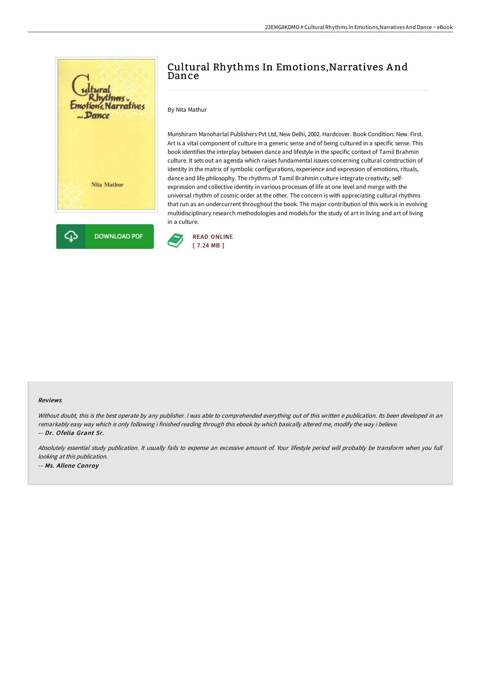

# Cultural Rhythms In Emotions,Narratives A nd Dance

### By Nita Mathur

Munshiram Manoharlal Publishers Pvt Ltd, New Delhi, 2002. Hardcover. Book Condition: New. First. Art is a vital component of culture in a generic sense and of being cultured in a specific sense. This book identifies the interplay between dance and lifestyle in the specific context of Tamil Brahmin culture. It sets out an agenda which raises fundamental issues concerning cultural construction of identity in the matrix of symbolic configurations, experience and expression of emotions, rituals, dance and life philosophy. The rhythms of Tamil Brahmin culture integrate creativity, selfexpression and collective identity in various processes of life at one level and merge with the universal rhythm of cosmic order at the other. The concern is with appreciating cultural rhythms that run as an undercurrent throughout the book. The major contribution of this work is in evolving multidisciplinary research methodologies and models for the study of art in living and art of living in a culture.



#### Reviews

Without doubt, this is the best operate by any publisher. I was able to comprehended everything out of this written e publication. Its been developed in an remarkably easy way which is only following i finished reading through this ebook by which basically altered me, modify the way i believe. -- Dr. Ofelia Grant Sr.

Absolutely essential study publication. It usually fails to expense an excessive amount of. Your lifestyle period will probably be transform when you full looking at this publication. -- Ms. Allene Conroy